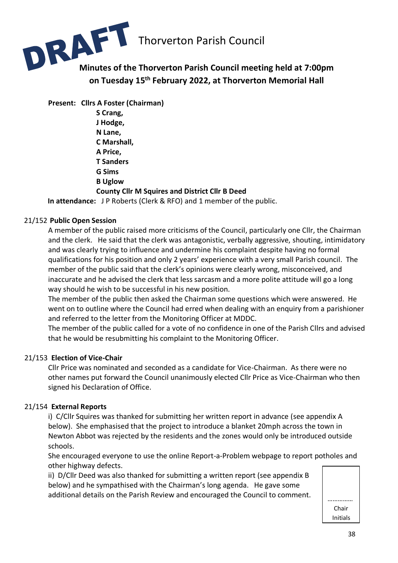

**on Tuesday 15 th February 2022, at Thorverton Memorial Hall**

**Present: Cllrs A Foster (Chairman) S Crang, J Hodge, N Lane, C Marshall, A Price, T Sanders G Sims B Uglow County Cllr M Squires and District Cllr B Deed**

**In attendance:** J P Roberts (Clerk & RFO) and 1 member of the public.

#### 21/152 **Public Open Session**

A member of the public raised more criticisms of the Council, particularly one Cllr, the Chairman and the clerk. He said that the clerk was antagonistic, verbally aggressive, shouting, intimidatory and was clearly trying to influence and undermine his complaint despite having no formal qualifications for his position and only 2 years' experience with a very small Parish council. The member of the public said that the clerk's opinions were clearly wrong, misconceived, and inaccurate and he advised the clerk that less sarcasm and a more polite attitude will go a long way should he wish to be successful in his new position.

The member of the public then asked the Chairman some questions which were answered. He went on to outline where the Council had erred when dealing with an enquiry from a parishioner and referred to the letter from the Monitoring Officer at MDDC.

The member of the public called for a vote of no confidence in one of the Parish Cllrs and advised that he would be resubmitting his complaint to the Monitoring Officer.

#### 21/153 **Election of Vice-Chair**

Cllr Price was nominated and seconded as a candidate for Vice-Chairman. As there were no other names put forward the Council unanimously elected Cllr Price as Vice-Chairman who then signed his Declaration of Office.

#### 21/154 **External Reports**

i) C/Cllr Squires was thanked for submitting her written report in advance (see appendix A below). She emphasised that the project to introduce a blanket 20mph across the town in Newton Abbot was rejected by the residents and the zones would only be introduced outside schools.

She encouraged everyone to use the online Report-a-Problem webpage to report potholes and other highway defects.

ii) D/Cllr Deed was also thanked for submitting a written report (see appendix B below) and he sympathised with the Chairman's long agenda. He gave some additional details on the Parish Review and encouraged the Council to comment.  $\parallel$  \_\_\_\_\_\_\_\_\_\_\_

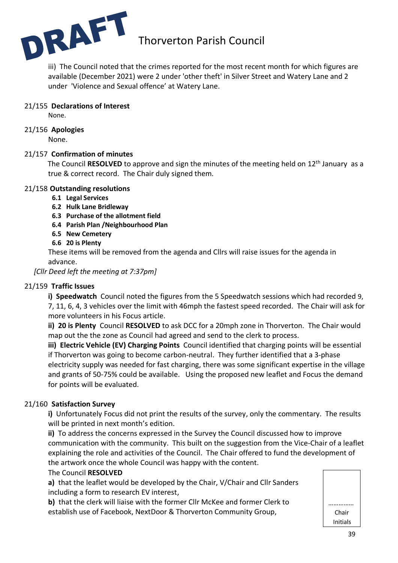

iii) The Council noted that the crimes reported for the most recent month for which figures are available (December 2021) were 2 under 'other theft' in Silver Street and Watery Lane and 2 under 'Violence and Sexual offence' at Watery Lane.

#### 21/155 **Declarations of Interest**

None.

#### 21/156 **Apologies**

None.

#### 21/157 **Confirmation of minutes**

The Council RESOLVED to approve and sign the minutes of the meeting held on 12<sup>th</sup> January as a true & correct record. The Chair duly signed them.

#### 21/158 **Outstanding resolutions**

- **6.1 Legal Services**
- **6.2 Hulk Lane Bridleway**
- **6.3 Purchase of the allotment field**
- **6.4 Parish Plan /Neighbourhood Plan**
- **6.5 New Cemetery**
- **6.6 20 is Plenty**

These items will be removed from the agenda and Cllrs will raise issues for the agenda in advance.

*[Cllr Deed left the meeting at 7:37pm]*

#### 21/159 **Traffic Issues**

**i) Speedwatch** Council noted the figures from the 5 Speedwatch sessions which had recorded 9, 7, 11, 6, 4, 3 vehicles over the limit with 46mph the fastest speed recorded. The Chair will ask for more volunteers in his Focus article.

**ii) 20 is Plenty** Council **RESOLVED** to ask DCC for a 20mph zone in Thorverton. The Chair would map out the the zone as Council had agreed and send to the clerk to process.

**iii) Electric Vehicle (EV) Charging Points** Council identified that charging points will be essential if Thorverton was going to become carbon-neutral. They further identified that a 3-phase electricity supply was needed for fast charging, there was some significant expertise in the village and grants of 50-75% could be available. Using the proposed new leaflet and Focus the demand for points will be evaluated.

#### 21/160 **Satisfaction Survey**

**i)** Unfortunately Focus did not print the results of the survey, only the commentary. The results will be printed in next month's edition.

**ii)** To address the concerns expressed in the Survey the Council discussed how to improve communication with the community. This built on the suggestion from the Vice-Chair of a leaflet explaining the role and activities of the Council. The Chair offered to fund the development of the artwork once the whole Council was happy with the content.

#### The Council **RESOLVED**

**a)** that the leaflet would be developed by the Chair, V/Chair and Cllr Sanders including a form to research EV interest,

**b)** that the clerk will liaise with the former Cllr McKee and former Clerk to establish use of Facebook, NextDoor & Thorverton Community Group,

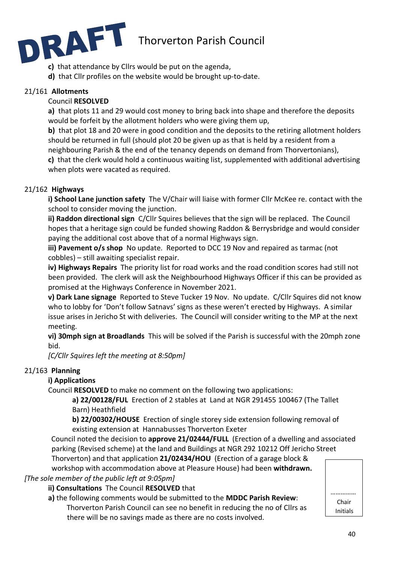

- **c)** that attendance by Cllrs would be put on the agenda,
- **d)** that Cllr profiles on the website would be brought up-to-date.

#### 21/161 **Allotments**

#### Council **RESOLVED**

**a)** that plots 11 and 29 would cost money to bring back into shape and therefore the deposits would be forfeit by the allotment holders who were giving them up,

**b)** that plot 18 and 20 were in good condition and the deposits to the retiring allotment holders should be returned in full (should plot 20 be given up as that is held by a resident from a neighbouring Parish & the end of the tenancy depends on demand from Thorvertonians),

**c)** that the clerk would hold a continuous waiting list, supplemented with additional advertising when plots were vacated as required.

#### 21/162 **Highways**

**i) School Lane junction safety** The V/Chair will liaise with former Cllr McKee re. contact with the school to consider moving the junction.

**ii) Raddon directional sign** C/Cllr Squires believes that the sign will be replaced. The Council hopes that a heritage sign could be funded showing Raddon & Berrysbridge and would consider paying the additional cost above that of a normal Highways sign.

**iii) Pavement o/s shop** No update. Reported to DCC 19 Nov and repaired as tarmac (not cobbles) – still awaiting specialist repair.

**iv) Highways Repairs** The priority list for road works and the road condition scores had still not been provided. The clerk will ask the Neighbourhood Highways Officer if this can be provided as promised at the Highways Conference in November 2021.

**v) Dark Lane signage** Reported to Steve Tucker 19 Nov. No update. C/Cllr Squires did not know who to lobby for 'Don't follow Satnavs' signs as these weren't erected by Highways. A similar issue arises in Jericho St with deliveries. The Council will consider writing to the MP at the next meeting.

**vi) 30mph sign at Broadlands** This will be solved if the Parish is successful with the 20mph zone bid.

*[C/Cllr Squires left the meeting at 8:50pm]*

#### 21/163 **Planning**

#### **i) Applications**

Council **RESOLVED** to make no comment on the following two applications:

**a) 22/00128/FUL** Erection of 2 stables at Land at NGR 291455 100467 (The Tallet Barn) Heathfield

**b) 22/00302/HOUSE** Erection of single storey side extension following removal of existing extension at Hannabusses Thorverton Exeter

Council noted the decision to **approve 21/02444/FULL** (Erection of a dwelling and associated parking (Revised scheme) at the land and Buildings at NGR 292 10212 Off Jericho Street

Thorverton) and that application **21/02434/HOU** (Erection of a garage block & workshop with accommodation above at Pleasure House) had been **withdrawn.**

*[The sole member of the public left at 9:05pm]*

**ii) Consultations** The Council **RESOLVED** that

**a)** the following comments would be submitted to the **MDDC Parish Review**: Thorverton Parish Council can see no benefit in reducing the no of Cllrs as there will be no savings made as there are no costs involved.

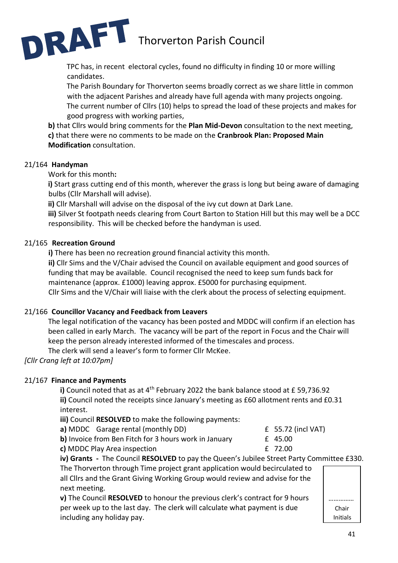

TPC has, in recent electoral cycles, found no difficulty in finding 10 or more willing candidates.

The Parish Boundary for Thorverton seems broadly correct as we share little in common with the adjacent Parishes and already have full agenda with many projects ongoing. The current number of Cllrs (10) helps to spread the load of these projects and makes for good progress with working parties,

**b)** that Cllrs would bring comments for the **Plan Mid-Devon** consultation to the next meeting, **c)** that there were no comments to be made on the **Cranbrook Plan: Proposed Main Modification** consultation.

#### 21/164 **Handyman**

Work for this month**:**

**i)** Start grass cutting end of this month, wherever the grass is long but being aware of damaging bulbs (Cllr Marshall will advise).

**ii)** Cllr Marshall will advise on the disposal of the ivy cut down at Dark Lane.

**iii)** Silver St footpath needs clearing from Court Barton to Station Hill but this may well be a DCC responsibility. This will be checked before the handyman is used.

#### 21/165 **Recreation Ground**

**i)** There has been no recreation ground financial activity this month.

**ii)** Cllr Sims and the V/Chair advised the Council on available equipment and good sources of funding that may be available. Council recognised the need to keep sum funds back for maintenance (approx. £1000) leaving approx. £5000 for purchasing equipment. Cllr Sims and the V/Chair will liaise with the clerk about the process of selecting equipment.

#### 21/166 **Councillor Vacancy and Feedback from Leavers**

The legal notification of the vacancy has been posted and MDDC will confirm if an election has been called in early March. The vacancy will be part of the report in Focus and the Chair will keep the person already interested informed of the timescales and process.

The clerk will send a leaver's form to former Cllr McKee.

*[Cllr Crang left at 10:07pm]*

#### 21/167 **Finance and Payments**

**i)** Council noted that as at 4th February 2022 the bank balance stood at £ 59,736.92 **ii)** Council noted the receipts since January's meeting as £60 allotment rents and £0.31 interest.

**iii)** Council **RESOLVED** to make the following payments:

|  | a) MDDC Garage rental (monthly DD) |
|--|------------------------------------|
|--|------------------------------------|

| <b>a)</b> MDDC Garage rental (monthly DD)             | $£$ 55.72 (incl VAT) |
|-------------------------------------------------------|----------------------|
| b) Invoice from Ben Fitch for 3 hours work in January | £ 45.00              |
| c) MDDC Play Area inspection                          | £ 72.00              |

**iv) Grants -** The Council **RESOLVED** to pay the Queen's Jubilee Street Party Committee £330.

The Thorverton through Time project grant application would becirculated to all Cllrs and the Grant Giving Working Group would review and advise for the next meeting.

**v)** The Council **RESOLVED** to honour the previous clerk's contract for 9 hours per week up to the last day. The clerk will calculate what payment is due including any holiday pay.

…………… Chair Initials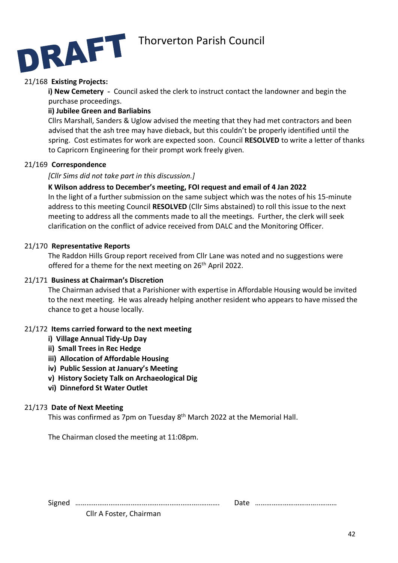

#### 21/168 **Existing Projects:**

**i) New Cemetery** - Council asked the clerk to instruct contact the landowner and begin the purchase proceedings.

#### **ii) Jubilee Green and Barliabins**

Cllrs Marshall, Sanders & Uglow advised the meeting that they had met contractors and been advised that the ash tree may have dieback, but this couldn't be properly identified until the spring. Cost estimates for work are expected soon. Council **RESOLVED** to write a letter of thanks to Capricorn Engineering for their prompt work freely given.

#### 21/169 **Correspondence**

#### *[Cllr Sims did not take part in this discussion.]*

#### **K Wilson address to December's meeting, FOI request and email of 4 Jan 2022**

In the light of a further submission on the same subject which was the notes of his 15-minute address to this meeting Council **RESOLVED** (Cllr Sims abstained) to roll this issue to the next meeting to address all the comments made to all the meetings. Further, the clerk will seek clarification on the conflict of advice received from DALC and the Monitoring Officer.

#### 21/170 **Representative Reports**

The Raddon Hills Group report received from Cllr Lane was noted and no suggestions were offered for a theme for the next meeting on 26<sup>th</sup> April 2022.

#### 21/171 **Business at Chairman's Discretion**

The Chairman advised that a Parishioner with expertise in Affordable Housing would be invited to the next meeting. He was already helping another resident who appears to have missed the chance to get a house locally.

#### 21/172 **Items carried forward to the next meeting**

- **i) Village Annual Tidy-Up Day**
- **ii) Small Trees in Rec Hedge**
- **iii) Allocation of Affordable Housing**
- **iv) Public Session at January's Meeting**
- **v) History Society Talk on Archaeological Dig**
- **vi) Dinneford St Water Outlet**

#### 21/173 **Date of Next Meeting**

This was confirmed as 7pm on Tuesday 8<sup>th</sup> March 2022 at the Memorial Hall.

The Chairman closed the meeting at 11:08pm.

Signed …………………………………………………………..………. Date ……………………………..………

| Date |  |
|------|--|
|------|--|

Cllr A Foster, Chairman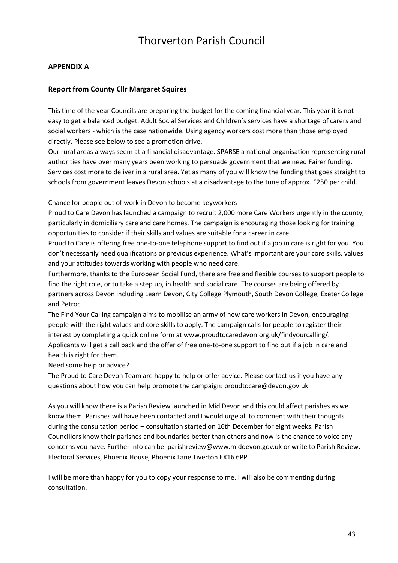#### **APPENDIX A**

#### **Report from County Cllr Margaret Squires**

This time of the year Councils are preparing the budget for the coming financial year. This year it is not easy to get a balanced budget. Adult Social Services and Children's services have a shortage of carers and social workers - which is the case nationwide. Using agency workers cost more than those employed directly. Please see below to see a promotion drive.

Our rural areas always seem at a financial disadvantage. SPARSE a national organisation representing rural authorities have over many years been working to persuade government that we need Fairer funding. Services cost more to deliver in a rural area. Yet as many of you will know the funding that goes straight to schools from government leaves Devon schools at a disadvantage to the tune of approx. £250 per child.

Chance for people out of work in Devon to become keyworkers

Proud to Care Devon has launched a campaign to recruit 2,000 more Care Workers urgently in the county, particularly in domiciliary care and care homes. The campaign is encouraging those looking for training opportunities to consider if their skills and values are suitable for a career in care.

Proud to Care is offering free one-to-one telephone support to find out if a job in care is right for you. You don't necessarily need qualifications or previous experience. What's important are your core skills, values and your attitudes towards working with people who need care.

Furthermore, thanks to the European Social Fund, there are free and flexible courses to support people to find the right role, or to take a step up, in health and social care. The courses are being offered by partners across Devon including Learn Devon, City College Plymouth, South Devon College, Exeter College and Petroc.

The Find Your Calling campaign aims to mobilise an army of new care workers in Devon, encouraging people with the right values and core skills to apply. The campaign calls for people to register their interest by completing a quick online form at www.proudtocaredevon.org.uk/findyourcalling/. Applicants will get a call back and the offer of free one-to-one support to find out if a job in care and health is right for them.

Need some help or advice?

The Proud to Care Devon Team are happy to help or offer advice. Please contact us if you have any questions about how you can help promote the campaign: proudtocare@devon.gov.uk

As you will know there is a Parish Review launched in Mid Devon and this could affect parishes as we know them. Parishes will have been contacted and I would urge all to comment with their thoughts during the consultation period – consultation started on 16th December for eight weeks. Parish Councillors know their parishes and boundaries better than others and now is the chance to voice any concerns you have. Further info can be parishreview@www.middevon.gov.uk or write to Parish Review, Electoral Services, Phoenix House, Phoenix Lane Tiverton EX16 6PP

I will be more than happy for you to copy your response to me. I will also be commenting during consultation.